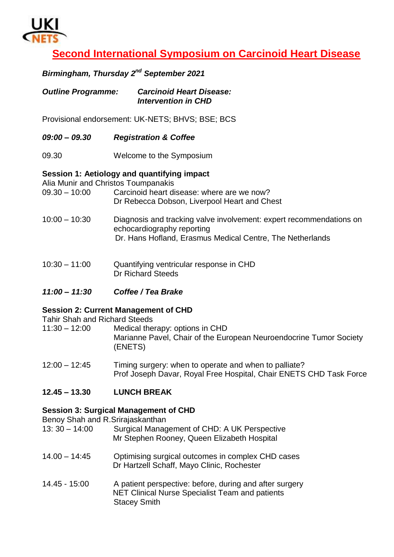

# **Second International Symposium on Carcinoid Heart Disease**

#### *Birmingham, Thursday 2 nd September 2021*

| <b>Outline Programme:</b> | <b>Carcinoid Heart Disease:</b> |
|---------------------------|---------------------------------|
|                           | <b>Intervention in CHD</b>      |

Provisional endorsement: UK-NETS; BHVS; BSE; BCS

- *09:00 – 09.30 Registration & Coffee*
- 09.30 Welcome to the Symposium

#### **Session 1: Aetiology and quantifying impact**

Alia Munir and Christos Toumpanakis

- 09.30 10:00 Carcinoid heart disease: where are we now? Dr Rebecca Dobson, Liverpool Heart and Chest
- 10:00 10:30 Diagnosis and tracking valve involvement: expert recommendations on echocardiography reporting Dr. Hans Hofland, Erasmus Medical Centre, The Netherlands
- 10:30 11:00 Quantifying ventricular response in CHD Dr Richard Steeds
- *11:00 – 11:30 Coffee / Tea Brake*

#### **Session 2: Current Management of CHD**

Tahir Shah and Richard Steeds

- 11:30 12:00 Medical therapy: options in CHD Marianne Pavel, Chair of the European Neuroendocrine Tumor Society (ENETS)
- 12:00 12:45 Timing surgery: when to operate and when to palliate? Prof Joseph Davar, Royal Free Hospital, Chair ENETS CHD Task Force
- **12.45 – 13.30 LUNCH BREAK**

#### **Session 3: Surgical Management of CHD**

Benoy Shah and R.Srirajaskanthan

- 13: 30 14:00 Surgical Management of CHD: A UK Perspective Mr Stephen Rooney, Queen Elizabeth Hospital
- 14.00 14:45 Optimising surgical outcomes in complex CHD cases Dr Hartzell Schaff, Mayo Clinic, Rochester
- 14.45 15:00 A patient perspective: before, during and after surgery NET Clinical Nurse Specialist Team and patients Stacey Smith